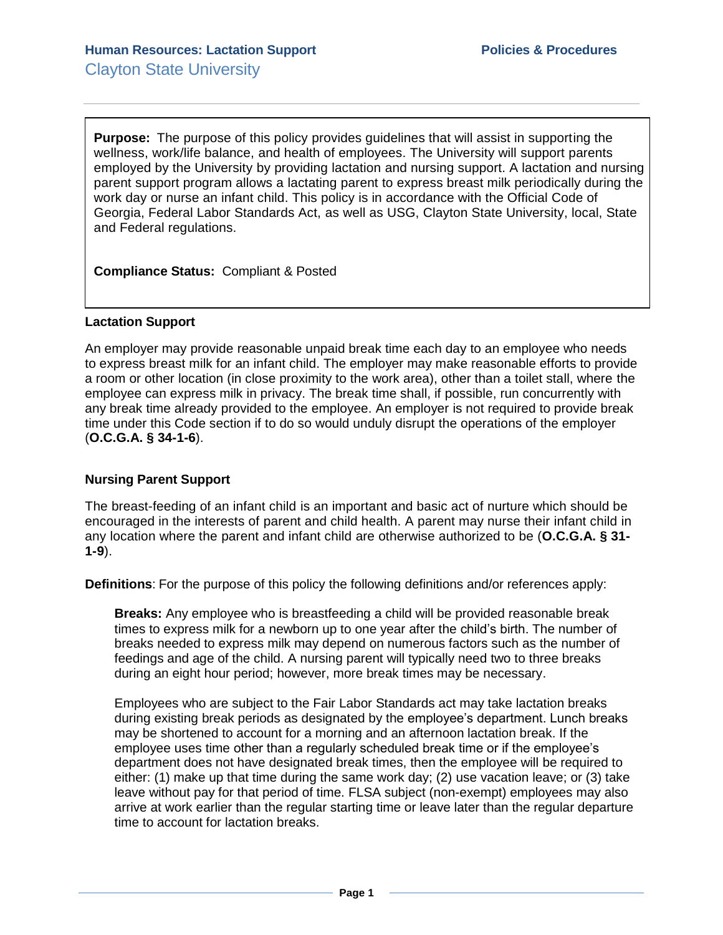**Purpose:** The purpose of this policy provides guidelines that will assist in supporting the wellness, work/life balance, and health of employees. The University will support parents employed by the University by providing lactation and nursing support. A lactation and nursing parent support program allows a lactating parent to express breast milk periodically during the work day or nurse an infant child. This policy is in accordance with the Official Code of Georgia, Federal Labor Standards Act, as well as USG, Clayton State University, local, State and Federal regulations.

**Compliance Status:** Compliant & Posted

## **Lactation Support**

An employer may provide reasonable unpaid break time each day to an employee who needs to express breast milk for an infant child. The employer may make reasonable efforts to provide a room or other location (in close proximity to the work area), other than a toilet stall, where the employee can express milk in privacy. The break time shall, if possible, run concurrently with any break time already provided to the employee. An employer is not required to provide break time under this Code section if to do so would unduly disrupt the operations of the employer (**O.C.G.A. § 34-1-6**).

## **Nursing Parent Support**

The breast-feeding of an infant child is an important and basic act of nurture which should be encouraged in the interests of parent and child health. A parent may nurse their infant child in any location where the parent and infant child are otherwise authorized to be (**O.C.G.A. § 31- 1-9**).

**Definitions**: For the purpose of this policy the following definitions and/or references apply:

**Breaks:** Any employee who is breastfeeding a child will be provided reasonable break times to express milk for a newborn up to one year after the child's birth. The number of breaks needed to express milk may depend on numerous factors such as the number of feedings and age of the child. A nursing parent will typically need two to three breaks during an eight hour period; however, more break times may be necessary.

Employees who are subject to the Fair Labor Standards act may take lactation breaks during existing break periods as designated by the employee's department. Lunch breaks may be shortened to account for a morning and an afternoon lactation break. If the employee uses time other than a regularly scheduled break time or if the employee's department does not have designated break times, then the employee will be required to either: (1) make up that time during the same work day; (2) use vacation leave; or (3) take leave without pay for that period of time. FLSA subject (non-exempt) employees may also arrive at work earlier than the regular starting time or leave later than the regular departure time to account for lactation breaks.